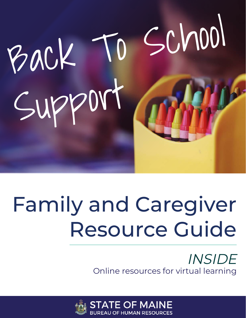

#### es for numerous topics. All are available for Family and Carediver sources. w Family and Caregiver Resource Guide

#### INSIDE Online resources for virtual learning

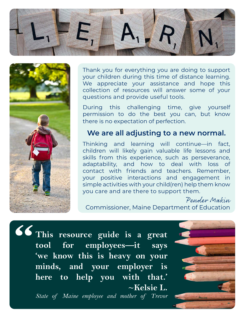



Thank you for everything you are doing to support your children during this time of distance learning. We appreciate your assistance and hope this collection of resources will answer some of your questions and provide useful tools.

During this challenging time, give yourself permission to do the best you can, but know there is no expectation of perfection.

#### **We are all adjusting to a new normal.**

Thinking and learning will continue—in fact, children will likely gain valuable life lessons and skills from this experience, such as perseverance, adaptability, and how to deal with loss of contact with friends and teachers. Remember, your positive interactions and engagement in simple activities with your child(ren) help them know you care and are there to support them.

Pender Makin Commissioner, Maine Department of Education

**This resource guide is a great tool for employees—it says 'we know this is heavy on your minds, and your employer is here to help you with that.' ~Kelsie L. "**

*State of Maine employee and mother of Trevor*

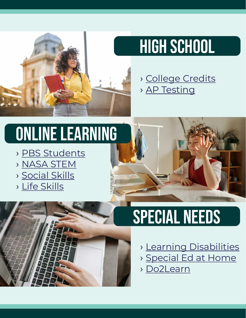

### HIGH SCHOOL

› [College Credits](https://www.mccs.me.edu/our-programs/early-college-programs-courses/course-college/) › [AP Testing](https://www.youtube.com/user/advancedplacement?SFMC_cid=EM294616-&rid=47352283)

## online learning

- › [PBS Students](https://mainepublic.pbslearningmedia.org/student/)
- › [NASA STEM](https://www.nasa.gov/stem)
- › [Social Skills](https://www.additudemag.com/slideshows/youtube-videos-for-kids/)
- › [Life Skills](https://www.autismspeaks.org/life-skills-and-autism)



## special needs

- › [Learning Disabilities](https://www.ncld.org/wp-content/uploads/2020/03/A-Parents-Guide-to-Virtual-Learning-4-Actions-To-Improve-your-Childs-Experience-with-Online-Learning.pdf)
- › [Special Ed at Home](https://www.youtube.com/watch?v=_4LQr1ko-0k&feature=youtu.be)
- › [Do2Learn](https://do2learn.com/)